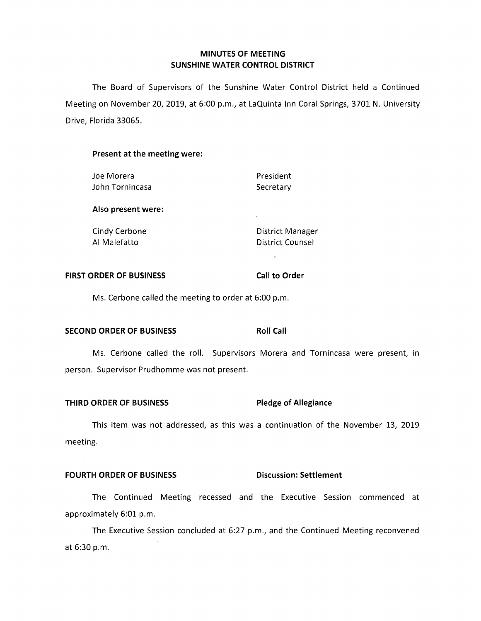# **MINUTES OF MEETING SUNSHINE WATER CONTROL DISTRICT**

The Board of Supervisors of the Sunshine Water Control District held a Continued Meeting on November 20, 2019, at 6:00 p.m., at LaQuinta Inn Coral Springs, 3701 **N.** University Drive, Florida 33065.

## **Present at the meeting were:**

| Joe Morera         | President        |
|--------------------|------------------|
| John Tornincasa    | Secretary        |
| Also present were: |                  |
| Cindy Cerbone      | District Manager |
| Al Malefatto       | District Counsel |

#### **FIRST ORDER OF BUSINESS** Call to Order

Ms. Cerbone called the meeting to order at 6:00 p.m.

# **SECOND ORDER OF BUSINESS Roll Call**

Ms. Cerbone called the roll. Supervisors Morera and Tornincasa were present, in person. Supervisor Prudhomme was not present.

# **THIRD ORDER OF BUSINESS Pledge of Allegiance**

This item was not addressed, as this was a continuation of the November 13, 2019 meeting.

### **FOURTH ORDER OF BUSINESS CONSIGNATION** Discussion: Settlement

The Continued Meeting recessed and the Executive Session commenced at approximately 6:01 p.m.

The Executive Session concluded at 6:27 p.m., and the Continued Meeting reconvened at 6:30 p.m.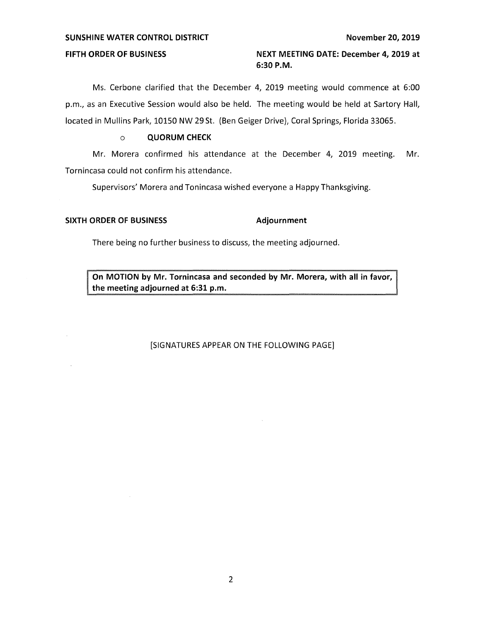#### **SUNSHINE WATER CONTROL DISTRICT November 20, 2019**

# **FIFTH ORDER OF BUSINESS NEXT MEETING DATE: December 4, 2019 at 6:30 P.M.**

Ms. Cerbone clarified that the December 4, 2019 meeting would commence at 6:00 p.m., as an Executive Session would also be held. The meeting would be held at Sartory Hall, located in Mullins Park, 10150 NW 29 St. (Ben Geiger Drive), Coral Springs, Florida 33065.

## o **QUORUM CHECK**

Mr. Morera confirmed his attendance at the December 4, 2019 meeting. Mr. Tornincasa could not confirm his attendance.

Supervisors' Morera and Tonincasa wished everyone a Happy Thanksgiving.

## **SIXTH ORDER OF BUSINESS Adjournment**

There being no further business to discuss, the meeting adjourned.

**On MOTION by Mr. Tornincasa and seconded by Mr. Morera, with all in favor, the meeting adjourned at 6:31 p.m.** 

# [SIGNATURES APPEAR ON THE FOLLOWING PAGE]